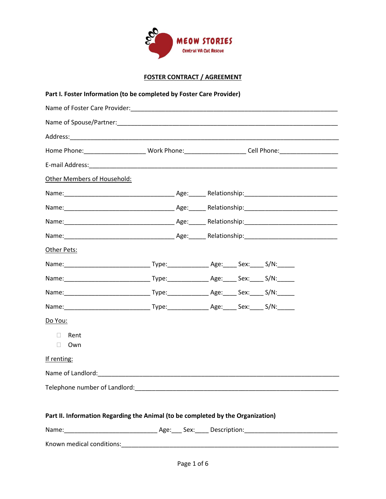

| Part I. Foster Information (to be completed by Foster Care Provider)            |  |  |                                                                                                            |  |  |  |
|---------------------------------------------------------------------------------|--|--|------------------------------------------------------------------------------------------------------------|--|--|--|
|                                                                                 |  |  |                                                                                                            |  |  |  |
|                                                                                 |  |  |                                                                                                            |  |  |  |
|                                                                                 |  |  |                                                                                                            |  |  |  |
|                                                                                 |  |  | Home Phone: ___________________________Work Phone: _______________________Cell Phone: ____________________ |  |  |  |
|                                                                                 |  |  |                                                                                                            |  |  |  |
| Other Members of Household:                                                     |  |  |                                                                                                            |  |  |  |
|                                                                                 |  |  |                                                                                                            |  |  |  |
|                                                                                 |  |  |                                                                                                            |  |  |  |
|                                                                                 |  |  |                                                                                                            |  |  |  |
|                                                                                 |  |  |                                                                                                            |  |  |  |
| Other Pets:                                                                     |  |  |                                                                                                            |  |  |  |
|                                                                                 |  |  |                                                                                                            |  |  |  |
|                                                                                 |  |  |                                                                                                            |  |  |  |
|                                                                                 |  |  |                                                                                                            |  |  |  |
|                                                                                 |  |  |                                                                                                            |  |  |  |
| Do You:                                                                         |  |  |                                                                                                            |  |  |  |
| $\Box$ Rent                                                                     |  |  |                                                                                                            |  |  |  |
| $\Box$ Own                                                                      |  |  |                                                                                                            |  |  |  |
| If renting:                                                                     |  |  |                                                                                                            |  |  |  |
| Name of Landlord:                                                               |  |  |                                                                                                            |  |  |  |
|                                                                                 |  |  |                                                                                                            |  |  |  |
|                                                                                 |  |  |                                                                                                            |  |  |  |
| Part II. Information Regarding the Animal (to be completed by the Organization) |  |  |                                                                                                            |  |  |  |
|                                                                                 |  |  |                                                                                                            |  |  |  |
|                                                                                 |  |  |                                                                                                            |  |  |  |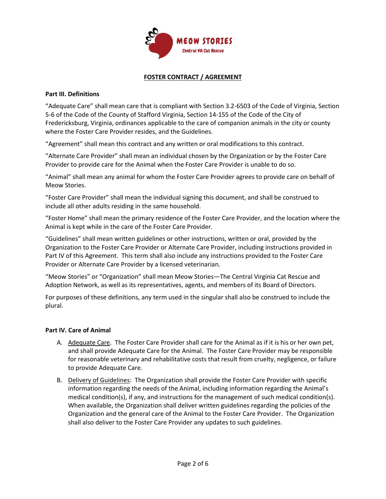

#### **Part III. Definitions**

"Adequate Care" shall mean care that is compliant with Section 3.2-6503 of the Code of Virginia, Section 5-6 of the Code of the County of Stafford Virginia, Section 14-155 of the Code of the City of Fredericksburg, Virginia, ordinances applicable to the care of companion animals in the city or county where the Foster Care Provider resides, and the Guidelines.

"Agreement" shall mean this contract and any written or oral modifications to this contract.

"Alternate Care Provider" shall mean an individual chosen by the Organization or by the Foster Care Provider to provide care for the Animal when the Foster Care Provider is unable to do so.

"Animal" shall mean any animal for whom the Foster Care Provider agrees to provide care on behalf of Meow Stories.

"Foster Care Provider" shall mean the individual signing this document, and shall be construed to include all other adults residing in the same household.

"Foster Home" shall mean the primary residence of the Foster Care Provider, and the location where the Animal is kept while in the care of the Foster Care Provider.

"Guidelines" shall mean written guidelines or other instructions, written or oral, provided by the Organization to the Foster Care Provider or Alternate Care Provider, including instructions provided in Part IV of this Agreement. This term shall also include any instructions provided to the Foster Care Provider or Alternate Care Provider by a licensed veterinarian.

"Meow Stories" or "Organization" shall mean Meow Stories—The Central Virginia Cat Rescue and Adoption Network, as well as its representatives, agents, and members of its Board of Directors.

For purposes of these definitions, any term used in the singular shall also be construed to include the plural.

#### **Part IV. Care of Animal**

- A. Adequate Care. The Foster Care Provider shall care for the Animal as if it is his or her own pet, and shall provide Adequate Care for the Animal. The Foster Care Provider may be responsible for reasonable veterinary and rehabilitative costs that result from cruelty, negligence, or failure to provide Adequate Care.
- B. Delivery of Guidelines: The Organization shall provide the Foster Care Provider with specific information regarding the needs of the Animal, including information regarding the Animal's medical condition(s), if any, and instructions for the management of such medical condition(s). When available, the Organization shall deliver written guidelines regarding the policies of the Organization and the general care of the Animal to the Foster Care Provider. The Organization shall also deliver to the Foster Care Provider any updates to such guidelines.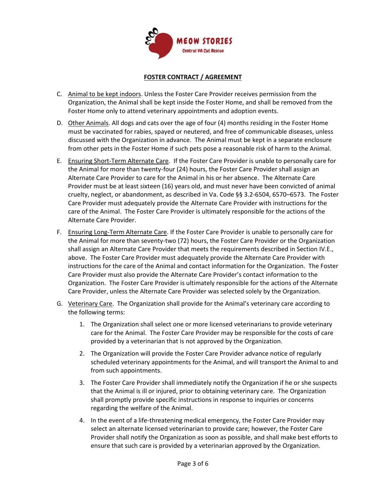

- C. Animal to be kept indoors. Unless the Foster Care Provider receives permission from the Organization, the Animal shall be kept inside the Foster Home, and shall be removed from the Foster Home only to attend veterinary appointments and adoption events.
- D. Other Animals. All dogs and cats over the age of four (4) months residing in the Foster Home must be vaccinated for rabies, spayed or neutered, and free of communicable diseases, unless discussed with the Organization in advance. The Animal must be kept in a separate enclosure from other pets in the Foster Home if such pets pose a reasonable risk of harm to the Animal.
- E. Ensuring Short-Term Alternate Care. If the Foster Care Provider is unable to personally care for the Animal for more than twenty-four (24) hours, the Foster Care Provider shall assign an Alternate Care Provider to care for the Animal in his or her absence. The Alternate Care Provider must be at least sixteen (16) years old, and must never have been convicted of animal cruelty, neglect, or abandonment, as described in Va. Code §§ 3.2-6504, 6570–6573. The Foster Care Provider must adequately provide the Alternate Care Provider with instructions for the care of the Animal. The Foster Care Provider is ultimately responsible for the actions of the Alternate Care Provider.
- F. Ensuring Long-Term Alternate Care. If the Foster Care Provider is unable to personally care for the Animal for more than seventy-two (72) hours, the Foster Care Provider or the Organization shall assign an Alternate Care Provider that meets the requirements described in Section IV.E., above. The Foster Care Provider must adequately provide the Alternate Care Provider with instructions for the care of the Animal and contact information for the Organization. The Foster Care Provider must also provide the Alternate Care Provider's contact information to the Organization. The Foster Care Provider is ultimately responsible for the actions of the Alternate Care Provider, unless the Alternate Care Provider was selected solely by the Organization.
- G. Veterinary Care. The Organization shall provide for the Animal's veterinary care according to the following terms:
	- 1. The Organization shall select one or more licensed veterinarians to provide veterinary care for the Animal. The Foster Care Provider may be responsible for the costs of care provided by a veterinarian that is not approved by the Organization.
	- 2. The Organization will provide the Foster Care Provider advance notice of regularly scheduled veterinary appointments for the Animal, and will transport the Animal to and from such appointments.
	- 3. The Foster Care Provider shall immediately notify the Organization if he or she suspects that the Animal is ill or injured, prior to obtaining veterinary care. The Organization shall promptly provide specific instructions in response to inquiries or concerns regarding the welfare of the Animal.
	- 4. In the event of a life-threatening medical emergency, the Foster Care Provider may select an alternate licensed veterinarian to provide care; however, the Foster Care Provider shall notify the Organization as soon as possible, and shall make best efforts to ensure that such care is provided by a veterinarian approved by the Organization.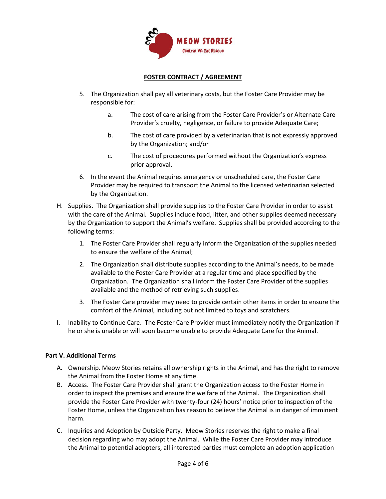

- 5. The Organization shall pay all veterinary costs, but the Foster Care Provider may be responsible for:
	- a. The cost of care arising from the Foster Care Provider's or Alternate Care Provider's cruelty, negligence, or failure to provide Adequate Care;
	- b. The cost of care provided by a veterinarian that is not expressly approved by the Organization; and/or
	- c. The cost of procedures performed without the Organization's express prior approval.
- 6. In the event the Animal requires emergency or unscheduled care, the Foster Care Provider may be required to transport the Animal to the licensed veterinarian selected by the Organization.
- H. Supplies. The Organization shall provide supplies to the Foster Care Provider in order to assist with the care of the Animal. Supplies include food, litter, and other supplies deemed necessary by the Organization to support the Animal's welfare. Supplies shall be provided according to the following terms:
	- 1. The Foster Care Provider shall regularly inform the Organization of the supplies needed to ensure the welfare of the Animal;
	- 2. The Organization shall distribute supplies according to the Animal's needs, to be made available to the Foster Care Provider at a regular time and place specified by the Organization. The Organization shall inform the Foster Care Provider of the supplies available and the method of retrieving such supplies.
	- 3. The Foster Care provider may need to provide certain other items in order to ensure the comfort of the Animal, including but not limited to toys and scratchers.
- I. Inability to Continue Care. The Foster Care Provider must immediately notify the Organization if he or she is unable or will soon become unable to provide Adequate Care for the Animal.

## **Part V. Additional Terms**

- A. Ownership. Meow Stories retains all ownership rights in the Animal, and has the right to remove the Animal from the Foster Home at any time.
- B. Access. The Foster Care Provider shall grant the Organization access to the Foster Home in order to inspect the premises and ensure the welfare of the Animal. The Organization shall provide the Foster Care Provider with twenty-four (24) hours' notice prior to inspection of the Foster Home, unless the Organization has reason to believe the Animal is in danger of imminent harm.
- C. Inquiries and Adoption by Outside Party. Meow Stories reserves the right to make a final decision regarding who may adopt the Animal. While the Foster Care Provider may introduce the Animal to potential adopters, all interested parties must complete an adoption application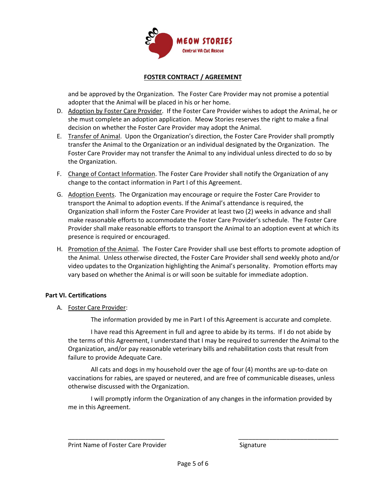

and be approved by the Organization. The Foster Care Provider may not promise a potential adopter that the Animal will be placed in his or her home.

- D. Adoption by Foster Care Provider. If the Foster Care Provider wishes to adopt the Animal, he or she must complete an adoption application. Meow Stories reserves the right to make a final decision on whether the Foster Care Provider may adopt the Animal.
- E. Transfer of Animal. Upon the Organization's direction, the Foster Care Provider shall promptly transfer the Animal to the Organization or an individual designated by the Organization. The Foster Care Provider may not transfer the Animal to any individual unless directed to do so by the Organization.
- F. Change of Contact Information. The Foster Care Provider shall notify the Organization of any change to the contact information in Part I of this Agreement.
- G. Adoption Events. The Organization may encourage or require the Foster Care Provider to transport the Animal to adoption events. If the Animal's attendance is required, the Organization shall inform the Foster Care Provider at least two (2) weeks in advance and shall make reasonable efforts to accommodate the Foster Care Provider's schedule. The Foster Care Provider shall make reasonable efforts to transport the Animal to an adoption event at which its presence is required or encouraged.
- H. Promotion of the Animal. The Foster Care Provider shall use best efforts to promote adoption of the Animal. Unless otherwise directed, the Foster Care Provider shall send weekly photo and/or video updates to the Organization highlighting the Animal's personality. Promotion efforts may vary based on whether the Animal is or will soon be suitable for immediate adoption.

#### **Part VI. Certifications**

A. Foster Care Provider:

The information provided by me in Part I of this Agreement is accurate and complete.

I have read this Agreement in full and agree to abide by its terms. If I do not abide by the terms of this Agreement, I understand that I may be required to surrender the Animal to the Organization, and/or pay reasonable veterinary bills and rehabilitation costs that result from failure to provide Adequate Care.

All cats and dogs in my household over the age of four (4) months are up-to-date on vaccinations for rabies, are spayed or neutered, and are free of communicable diseases, unless otherwise discussed with the Organization.

I will promptly inform the Organization of any changes in the information provided by me in this Agreement.

\_\_\_\_\_\_\_\_\_\_\_\_\_\_\_\_\_\_\_\_\_\_\_\_\_\_\_\_ \_\_\_\_\_\_\_\_\_\_\_\_\_\_\_\_\_\_\_\_\_\_\_\_\_\_\_\_\_

Print Name of Foster Care Provider Signature Signature